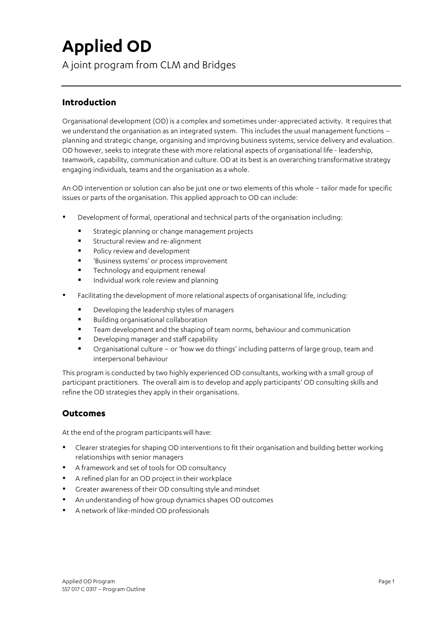# **Applied OD**

A joint program from CLM and Bridges

# **Introduction**

Organisational development (OD) is a complex and sometimes under-appreciated activity. It requires that we understand the organisation as an integrated system. This includes the usual management functions – planning and strategic change, organising and improving business systems, service delivery and evaluation. OD however, seeks to integrate these with more relational aspects of organisational life - leadership, teamwork, capability, communication and culture. OD at its best is an overarching transformative strategy engaging individuals, teams and the organisation as a whole.

An OD intervention or solution can also be just one or two elements of this whole – tailor made for specific issues or parts of the organisation. This applied approach to OD can include:

- Development of formal, operational and technical parts of the organisation including:
	- **■** Strategic planning or change management projects
	- **EXECT** Structural review and re-alignment
	- Policy review and development
	- Susiness systems' or process improvement
	- **•** Technology and equipment renewal
	- § Individual work role review and planning
- Facilitating the development of more relational aspects of organisational life, including:
	- § Developing the leadership styles of managers
	- Building organisational collaboration
	- Team development and the shaping of team norms, behaviour and communication
	- Developing manager and staff capability
	- § Organisational culture or 'how we do things' including patterns of large group, team and interpersonal behaviour

This program is conducted by two highly experienced OD consultants, working with a small group of participant practitioners. The overall aim is to develop and apply participants' OD consulting skills and refine the OD strategies they apply in their organisations.

### **Outcomes**

At the end of the program participants will have:

- Clearer strategies for shaping OD interventions to fit their organisation and building better working relationships with senior managers
- A framework and set of tools for OD consultancy
- A refined plan for an OD project in their workplace
- Greater awareness of their OD consulting style and mindset
- An understanding of how group dynamics shapes OD outcomes
- A network of like-minded OD professionals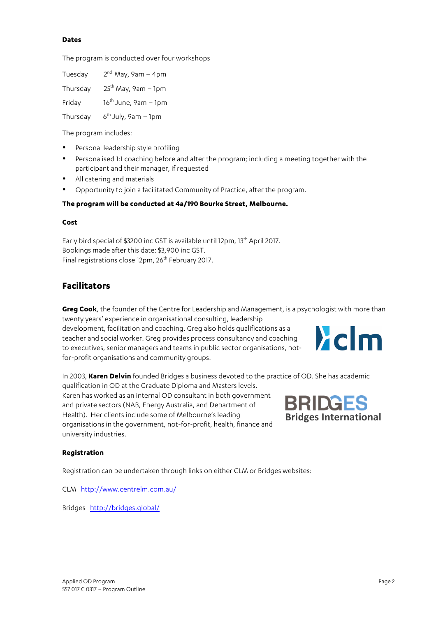#### **Dates**

The program is conducted over four workshops

| Tuesday  | $2^{nd}$ May, 9am - 4pm |
|----------|-------------------------|
| Thursday | $25th$ May, 9am – 1pm   |
| Friday   | $16th$ June, 9am – 1pm  |
| Thursday | $6th$ July, 9am – 1pm   |

The program includes:

- Personal leadership style profiling
- Personalised 1:1 coaching before and after the program; including a meeting together with the participant and their manager, if requested
- All catering and materials
- Opportunity to join a facilitated Community of Practice, after the program.

#### **The program will be conducted at 4a/190 Bourke Street, Melbourne.**

#### **Cost**

Early bird special of \$3200 inc GST is available until 12pm, 13th April 2017*.* Bookings made after this date: \$3,900 inc GST. Final registrations close 12pm, 26<sup>th</sup> February 2017.

## **Facilitators**

**Greg Cook**, the founder of the Centre for Leadership and Management, is a psychologist with more than twenty years' experience in organisational consulting, leadership

development, facilitation and coaching. Greg also holds qualifications as a teacher and social worker. Greg provides process consultancy and coaching to executives, senior managers and teams in public sector organisations, notfor-profit organisations and community groups.



In 2003, **Karen Delvin** founded Bridges a business devoted to the practice of OD. She has academic qualification in OD at the Graduate Diploma and Masters levels. Karen has worked as an internal OD consultant in both government **BRIDGES** and private sectors (NAB, Energy Australia, and Department of Health). Her clients include some of Melbourne's leading organisations in the government, not-for-profit, health, finance and university industries.

# **Bridges International**

#### **Registration**

Registration can be undertaken through links on either CLM or Bridges websites:

CLM http://www.centrelm.com.au/

Bridges http://bridges.global/